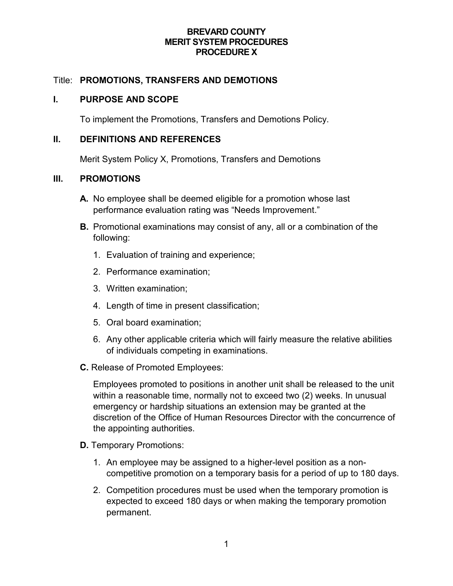### **BREVARD COUNTY MERIT SYSTEM PROCEDURES PROCEDURE X**

# Title: **PROMOTIONS, TRANSFERS AND DEMOTIONS**

#### **I. PURPOSE AND SCOPE**

To implement the Promotions, Transfers and Demotions Policy.

# **II. DEFINITIONS AND REFERENCES**

Merit System Policy X, Promotions, Transfers and Demotions

## **III. PROMOTIONS**

- **A.** No employee shall be deemed eligible for a promotion whose last performance evaluation rating was "Needs Improvement."
- **B.** Promotional examinations may consist of any, all or a combination of the following:
	- 1. Evaluation of training and experience;
	- 2. Performance examination;
	- 3. Written examination;
	- 4. Length of time in present classification;
	- 5. Oral board examination;
	- 6. Any other applicable criteria which will fairly measure the relative abilities of individuals competing in examinations.
- **C.** Release of Promoted Employees:

Employees promoted to positions in another unit shall be released to the unit within a reasonable time, normally not to exceed two (2) weeks. In unusual emergency or hardship situations an extension may be granted at the discretion of the Office of Human Resources Director with the concurrence of the appointing authorities.

- **D.** Temporary Promotions:
	- 1. An employee may be assigned to a higher-level position as a noncompetitive promotion on a temporary basis for a period of up to 180 days.
	- 2. Competition procedures must be used when the temporary promotion is expected to exceed 180 days or when making the temporary promotion permanent.